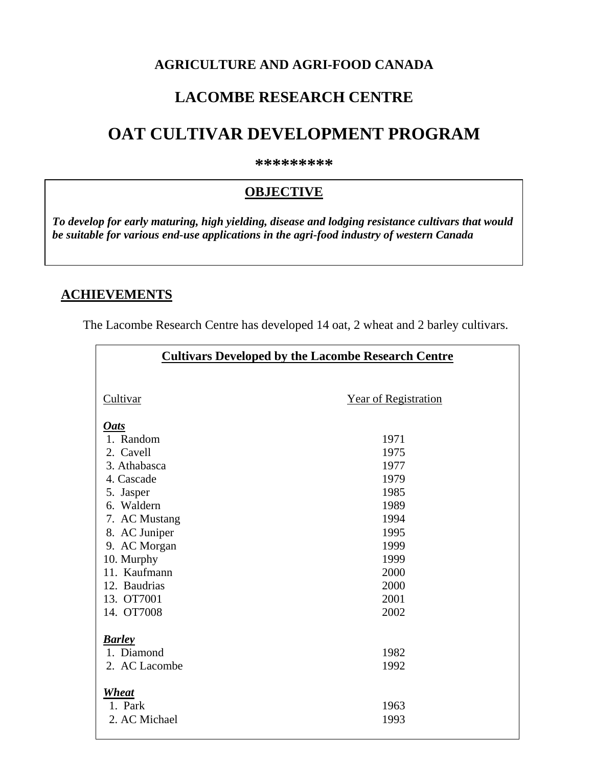#### **AGRICULTURE AND AGRI-FOOD CANADA**

## **LACOMBE RESEARCH CENTRE**

# **OAT CULTIVAR DEVELOPMENT PROGRAM**

**\*\*\*\*\*\*\*\*\*** 

### **OBJECTIVE**

*To develop for early maturing, high yielding, disease and lodging resistance cultivars that would be suitable for various end-use applications in the agri-food industry of western Canada* 

#### **ACHIEVEMENTS**

The Lacombe Research Centre has developed 14 oat, 2 wheat and 2 barley cultivars.

| <b>Cultivars Developed by the Lacombe Research Centre</b> |                             |  |  |  |  |  |  |  |
|-----------------------------------------------------------|-----------------------------|--|--|--|--|--|--|--|
| Cultivar                                                  | <b>Year of Registration</b> |  |  |  |  |  |  |  |
| <b>Oats</b>                                               |                             |  |  |  |  |  |  |  |
| 1. Random                                                 | 1971                        |  |  |  |  |  |  |  |
| 2. Cavell                                                 | 1975                        |  |  |  |  |  |  |  |
| 3. Athabasca                                              | 1977                        |  |  |  |  |  |  |  |
| 4. Cascade                                                | 1979                        |  |  |  |  |  |  |  |
| 5. Jasper                                                 | 1985                        |  |  |  |  |  |  |  |
| 6. Waldern                                                | 1989                        |  |  |  |  |  |  |  |
| 7. AC Mustang                                             | 1994                        |  |  |  |  |  |  |  |
| 8. AC Juniper                                             | 1995                        |  |  |  |  |  |  |  |
| 9. AC Morgan                                              | 1999                        |  |  |  |  |  |  |  |
| 10. Murphy                                                | 1999                        |  |  |  |  |  |  |  |
| 11. Kaufmann                                              | 2000                        |  |  |  |  |  |  |  |
| 12. Baudrias                                              | 2000                        |  |  |  |  |  |  |  |
| 13. OT7001                                                | 2001                        |  |  |  |  |  |  |  |
| 14. OT7008                                                | 2002                        |  |  |  |  |  |  |  |
|                                                           |                             |  |  |  |  |  |  |  |
| <b>Barley</b><br>1. Diamond                               | 1982                        |  |  |  |  |  |  |  |
| 2. AC Lacombe                                             | 1992                        |  |  |  |  |  |  |  |
|                                                           |                             |  |  |  |  |  |  |  |
| Wheat                                                     |                             |  |  |  |  |  |  |  |
| 1. Park                                                   | 1963                        |  |  |  |  |  |  |  |
| 2. AC Michael                                             | 1993                        |  |  |  |  |  |  |  |
|                                                           |                             |  |  |  |  |  |  |  |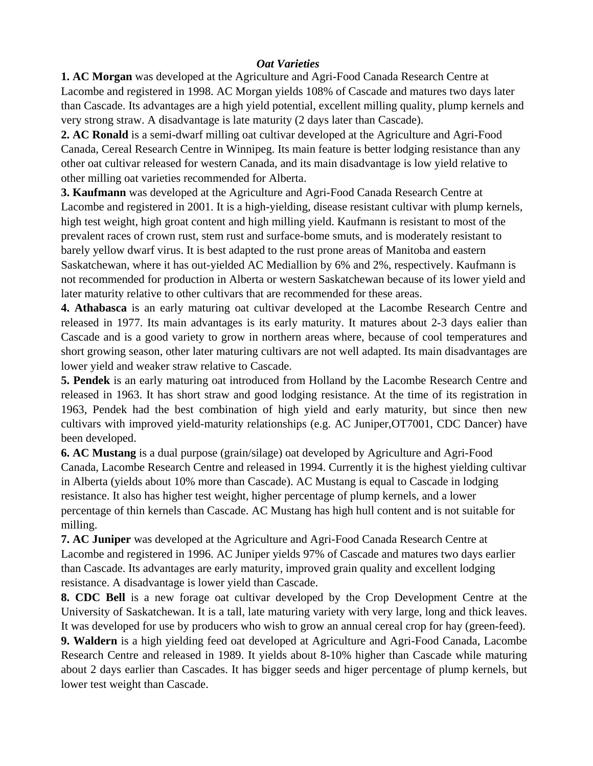#### *Oat Varieties*

**1. AC Morgan** was developed at the Agriculture and Agri-Food Canada Research Centre at Lacombe and registered in 1998. AC Morgan yields 108% of Cascade and matures two days later than Cascade. Its advantages are a high yield potential, excellent milling quality, plump kernels and very strong straw. A disadvantage is late maturity (2 days later than Cascade).

**2. AC Ronald** is a semi-dwarf milling oat cultivar developed at the Agriculture and Agri-Food Canada, Cereal Research Centre in Winnipeg. Its main feature is better lodging resistance than any other oat cultivar released for western Canada, and its main disadvantage is low yield relative to other milling oat varieties recommended for Alberta.

**3. Kaufmann** was developed at the Agriculture and Agri-Food Canada Research Centre at Lacombe and registered in 2001. It is a high-yielding, disease resistant cultivar with plump kernels, high test weight, high groat content and high milling yield. Kaufmann is resistant to most of the prevalent races of crown rust, stem rust and surface-bome smuts, and is moderately resistant to barely yellow dwarf virus. It is best adapted to the rust prone areas of Manitoba and eastern Saskatchewan, where it has out-yielded AC Mediallion by 6% and 2%, respectively. Kaufmann is not recommended for production in Alberta or western Saskatchewan because of its lower yield and later maturity relative to other cultivars that are recommended for these areas.

**4. Athabasca** is an early maturing oat cultivar developed at the Lacombe Research Centre and released in 1977. Its main advantages is its early maturity. It matures about 2-3 days ealier than Cascade and is a good variety to grow in northern areas where, because of cool temperatures and short growing season, other later maturing cultivars are not well adapted. Its main disadvantages are lower yield and weaker straw relative to Cascade.

**5. Pendek** is an early maturing oat introduced from Holland by the Lacombe Research Centre and released in 1963. It has short straw and good lodging resistance. At the time of its registration in 1963, Pendek had the best combination of high yield and early maturity, but since then new cultivars with improved yield-maturity relationships (e.g. AC Juniper,OT7001, CDC Dancer) have been developed.

**6. AC Mustang** is a dual purpose (grain/silage) oat developed by Agriculture and Agri-Food Canada, Lacombe Research Centre and released in 1994. Currently it is the highest yielding cultivar in Alberta (yields about 10% more than Cascade). AC Mustang is equal to Cascade in lodging resistance. It also has higher test weight, higher percentage of plump kernels, and a lower percentage of thin kernels than Cascade. AC Mustang has high hull content and is not suitable for milling.

**7. AC Juniper** was developed at the Agriculture and Agri-Food Canada Research Centre at Lacombe and registered in 1996. AC Juniper yields 97% of Cascade and matures two days earlier than Cascade. Its advantages are early maturity, improved grain quality and excellent lodging resistance. A disadvantage is lower yield than Cascade.

**8. CDC Bell** is a new forage oat cultivar developed by the Crop Development Centre at the University of Saskatchewan. It is a tall, late maturing variety with very large, long and thick leaves. It was developed for use by producers who wish to grow an annual cereal crop for hay (green-feed).

**9. Waldern** is a high yielding feed oat developed at Agriculture and Agri-Food Canada, Lacombe Research Centre and released in 1989. It yields about 8-10% higher than Cascade while maturing about 2 days earlier than Cascades. It has bigger seeds and higer percentage of plump kernels, but lower test weight than Cascade.